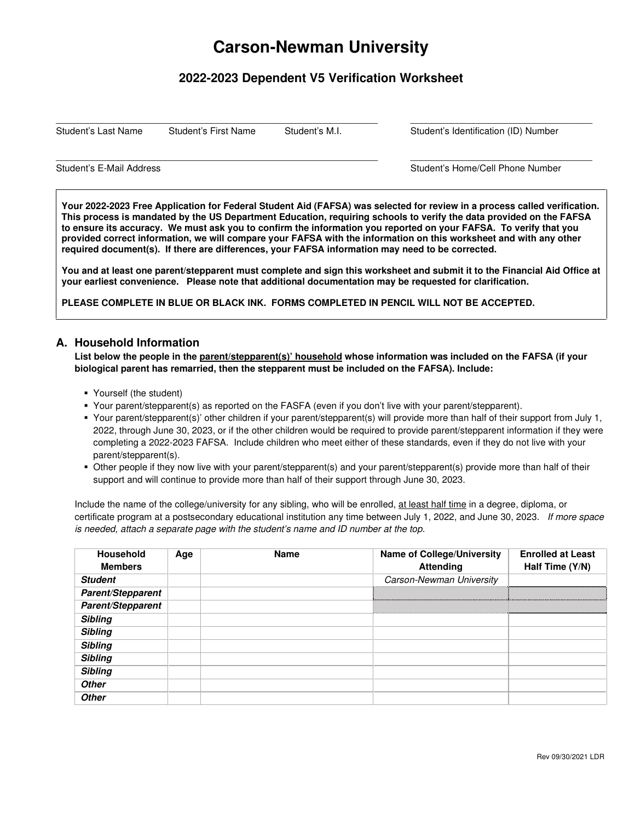# **Carson-Newman University**

# **2022-2023 Dependent V5 Verification Worksheet**

 $\_$  ,  $\_$  ,  $\_$  ,  $\_$  ,  $\_$  ,  $\_$  ,  $\_$  ,  $\_$  ,  $\_$  ,  $\_$  ,  $\_$  ,  $\_$  ,  $\_$  ,  $\_$  ,  $\_$  ,  $\_$  ,  $\_$  ,  $\_$  ,  $\_$  ,  $\_$  ,  $\_$  ,  $\_$  ,  $\_$  ,  $\_$  ,  $\_$  ,  $\_$  ,  $\_$  ,  $\_$  ,  $\_$  ,  $\_$  ,  $\_$  ,  $\_$  ,  $\_$  ,  $\_$  ,  $\_$  ,  $\_$  ,  $\_$  ,

 $\_$  ,  $\_$  ,  $\_$  ,  $\_$  ,  $\_$  ,  $\_$  ,  $\_$  ,  $\_$  ,  $\_$  ,  $\_$  ,  $\_$  ,  $\_$  ,  $\_$  ,  $\_$  ,  $\_$  ,  $\_$  ,  $\_$  ,  $\_$  ,  $\_$  ,  $\_$  ,  $\_$  ,  $\_$  ,  $\_$  ,  $\_$  ,  $\_$  ,  $\_$  ,  $\_$  ,  $\_$  ,  $\_$  ,  $\_$  ,  $\_$  ,  $\_$  ,  $\_$  ,  $\_$  ,  $\_$  ,  $\_$  ,  $\_$  ,

Student's Last Name Student's First Name Student's M.I. Student's Identification (ID) Number

Student's E-Mail Address **Student's E-Mail Address** Student's Home/Cell Phone Number

**Your 2022-2023 Free Application for Federal Student Aid (FAFSA) was selected for review in a process called verification. This process is mandated by the US Department Education, requiring schools to verify the data provided on the FAFSA to ensure its accuracy. We must ask you to confirm the information you reported on your FAFSA. To verify that you provided correct information, we will compare your FAFSA with the information on this worksheet and with any other required document(s). If there are differences, your FAFSA information may need to be corrected.** 

**You and at least one parent/stepparent must complete and sign this worksheet and submit it to the Financial Aid Office at your earliest convenience. Please note that additional documentation may be requested for clarification.** 

**PLEASE COMPLETE IN BLUE OR BLACK INK. FORMS COMPLETED IN PENCIL WILL NOT BE ACCEPTED.** 

#### **A. Household Information**

**List below the people in the parent/stepparent(s)' household whose information was included on the FAFSA (if your biological parent has remarried, then the stepparent must be included on the FAFSA). Include:** 

- Yourself (the student)
- Your parent/stepparent(s) as reported on the FASFA (even if you don't live with your parent/stepparent).
- Your parent/stepparent(s)' other children if your parent/stepparent(s) will provide more than half of their support from July 1, 2022, through June 30, 2023, or if the other children would be required to provide parent/stepparent information if they were completing a 2022-2023 FAFSA. Include children who meet either of these standards, even if they do not live with your parent/stepparent(s).
- Other people if they now live with your parent/stepparent(s) and your parent/stepparent(s) provide more than half of their support and will continue to provide more than half of their support through June 30, 2023.

Include the name of the college/university for any sibling, who will be enrolled, at least half time in a degree, diploma, or certificate program at a postsecondary educational institution any time between July 1, 2022, and June 30, 2023. If more space is needed, attach a separate page with the student's name and ID number at the top.

| <b>Household</b>  | Age | <b>Name</b> | <b>Name of College/University</b> | <b>Enrolled at Least</b> |
|-------------------|-----|-------------|-----------------------------------|--------------------------|
| <b>Members</b>    |     |             | <b>Attending</b>                  | Half Time (Y/N)          |
| <b>Student</b>    |     |             | Carson-Newman University          |                          |
| Parent/Stepparent |     |             |                                   |                          |
| Parent/Stepparent |     |             |                                   |                          |
| <b>Sibling</b>    |     |             |                                   |                          |
| <b>Sibling</b>    |     |             |                                   |                          |
| <b>Sibling</b>    |     |             |                                   |                          |
| <b>Sibling</b>    |     |             |                                   |                          |
| <b>Sibling</b>    |     |             |                                   |                          |
| <b>Other</b>      |     |             |                                   |                          |
| <b>Other</b>      |     |             |                                   |                          |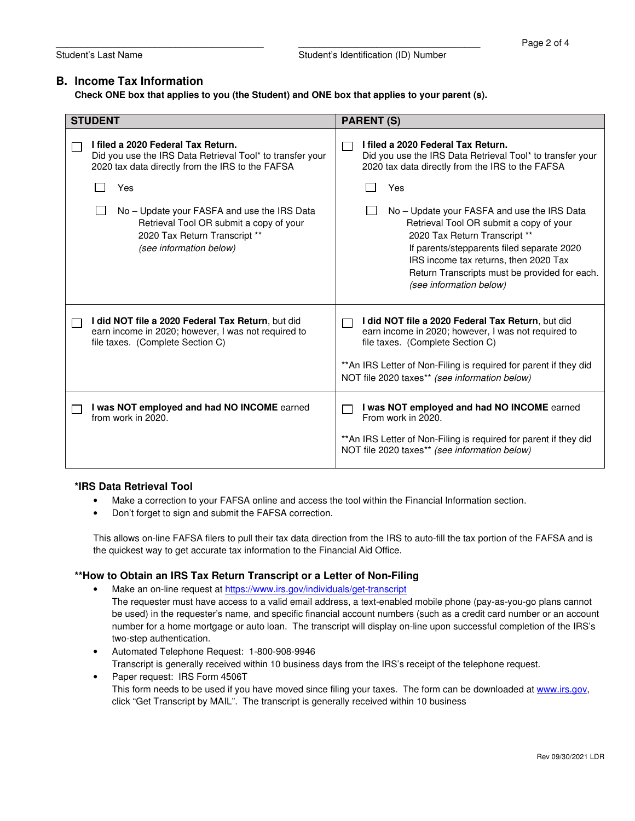#### **B. Income Tax Information**

**Check ONE box that applies to you (the Student) and ONE box that applies to your parent (s).** 

| <b>STUDENT</b>                                                                                                                                      | <b>PARENT (S)</b>                                                                                                                                                                                                                                                                          |
|-----------------------------------------------------------------------------------------------------------------------------------------------------|--------------------------------------------------------------------------------------------------------------------------------------------------------------------------------------------------------------------------------------------------------------------------------------------|
| I filed a 2020 Federal Tax Return.<br>Did you use the IRS Data Retrieval Tool* to transfer your<br>2020 tax data directly from the IRS to the FAFSA | I filed a 2020 Federal Tax Return.<br>Did you use the IRS Data Retrieval Tool* to transfer your<br>2020 tax data directly from the IRS to the FAFSA                                                                                                                                        |
| Yes                                                                                                                                                 | Yes                                                                                                                                                                                                                                                                                        |
| No – Update your FASFA and use the IRS Data<br>Retrieval Tool OR submit a copy of your<br>2020 Tax Return Transcript **<br>(see information below)  | No – Update your FASFA and use the IRS Data<br>Retrieval Tool OR submit a copy of your<br>2020 Tax Return Transcript **<br>If parents/stepparents filed separate 2020<br>IRS income tax returns, then 2020 Tax<br>Return Transcripts must be provided for each.<br>(see information below) |
| I did NOT file a 2020 Federal Tax Return, but did<br>earn income in 2020; however, I was not required to<br>file taxes. (Complete Section C)        | I did NOT file a 2020 Federal Tax Return, but did<br>earn income in 2020; however, I was not required to<br>file taxes. (Complete Section C)<br>** An IRS Letter of Non-Filing is required for parent if they did<br>NOT file 2020 taxes** (see information below)                         |
| I was NOT employed and had NO INCOME earned<br>from work in 2020.                                                                                   | I was NOT employed and had NO INCOME earned<br>From work in 2020.<br>** An IRS Letter of Non-Filing is required for parent if they did<br>NOT file 2020 taxes** (see information below)                                                                                                    |

#### **\*IRS Data Retrieval Tool**

- Make a correction to your FAFSA online and access the tool within the Financial Information section.
- Don't forget to sign and submit the FAFSA correction.

This allows on-line FAFSA filers to pull their tax data direction from the IRS to auto-fill the tax portion of the FAFSA and is the quickest way to get accurate tax information to the Financial Aid Office.

#### **\*\*How to Obtain an IRS Tax Return Transcript or a Letter of Non-Filing**

- Make an on-line request at https://www.irs.gov/individuals/get-transcript The requester must have access to a valid email address, a text-enabled mobile phone (pay-as-you-go plans cannot be used) in the requester's name, and specific financial account numbers (such as a credit card number or an account number for a home mortgage or auto loan. The transcript will display on-line upon successful completion of the IRS's two-step authentication.
- Automated Telephone Request: 1-800-908-9946

Transcript is generally received within 10 business days from the IRS's receipt of the telephone request.

Paper request: IRS Form 4506T This form needs to be used if you have moved since filing your taxes. The form can be downloaded at www.irs.gov, click "Get Transcript by MAIL". The transcript is generally received within 10 business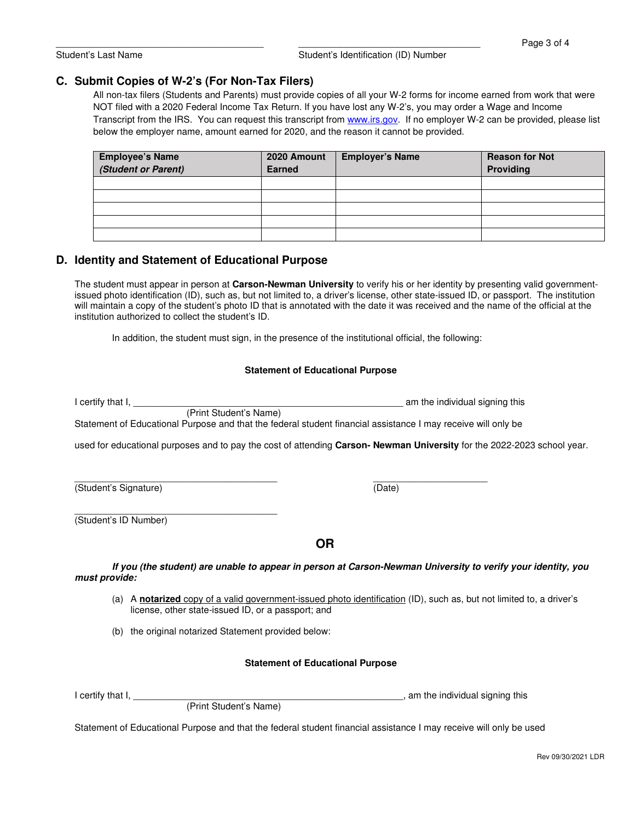### **C. Submit Copies of W-2's (For Non-Tax Filers)**

All non-tax filers (Students and Parents) must provide copies of all your W-2 forms for income earned from work that were NOT filed with a 2020 Federal Income Tax Return. If you have lost any W-2's, you may order a Wage and Income Transcript from the IRS. You can request this transcript from www.irs.gov. If no employer W-2 can be provided, please list below the employer name, amount earned for 2020, and the reason it cannot be provided.

| <b>Employee's Name</b><br>(Student or Parent) | 2020 Amount<br><b>Earned</b> | <b>Employer's Name</b> | <b>Reason for Not</b><br>Providing |
|-----------------------------------------------|------------------------------|------------------------|------------------------------------|
|                                               |                              |                        |                                    |
|                                               |                              |                        |                                    |
|                                               |                              |                        |                                    |
|                                               |                              |                        |                                    |
|                                               |                              |                        |                                    |

## **D. Identity and Statement of Educational Purpose**

The student must appear in person at **Carson-Newman University** to verify his or her identity by presenting valid governmentissued photo identification (ID), such as, but not limited to, a driver's license, other state-issued ID, or passport. The institution will maintain a copy of the student's photo ID that is annotated with the date it was received and the name of the official at the institution authorized to collect the student's ID.

In addition, the student must sign, in the presence of the institutional official, the following:

#### **Statement of Educational Purpose**

| I certify that I.<br>(Print Student's Name) | am the individual signing this                                                                                         |
|---------------------------------------------|------------------------------------------------------------------------------------------------------------------------|
|                                             | Statement of Educational Purpose and that the federal student financial assistance I may receive will only be          |
|                                             | used for educational purposes and to pay the cost of attending Carson-Newman University for the 2022-2023 school year. |
|                                             |                                                                                                                        |
| (Student's Signature)                       | (Date)                                                                                                                 |
|                                             |                                                                                                                        |
| (Student's ID Number)                       |                                                                                                                        |
|                                             | <b>OR</b>                                                                                                              |
|                                             | If you (the student) are unable to appear in person at Carson-Newman University to verify your identity, you           |
| must provide:                               |                                                                                                                        |

(a) A **notarized** copy of a valid government-issued photo identification (ID), such as, but not limited to, a driver's license, other state-issued ID, or a passport; and

(b) the original notarized Statement provided below:

#### **Statement of Educational Purpose**

(Print Student's Name)

I certify that I, \_\_\_\_\_\_\_\_\_\_\_\_\_\_\_\_\_\_\_\_\_\_\_\_\_\_\_\_\_\_\_\_\_\_\_\_\_\_\_\_\_\_\_\_\_\_\_\_\_\_\_\_, am the individual signing this

Statement of Educational Purpose and that the federal student financial assistance I may receive will only be used